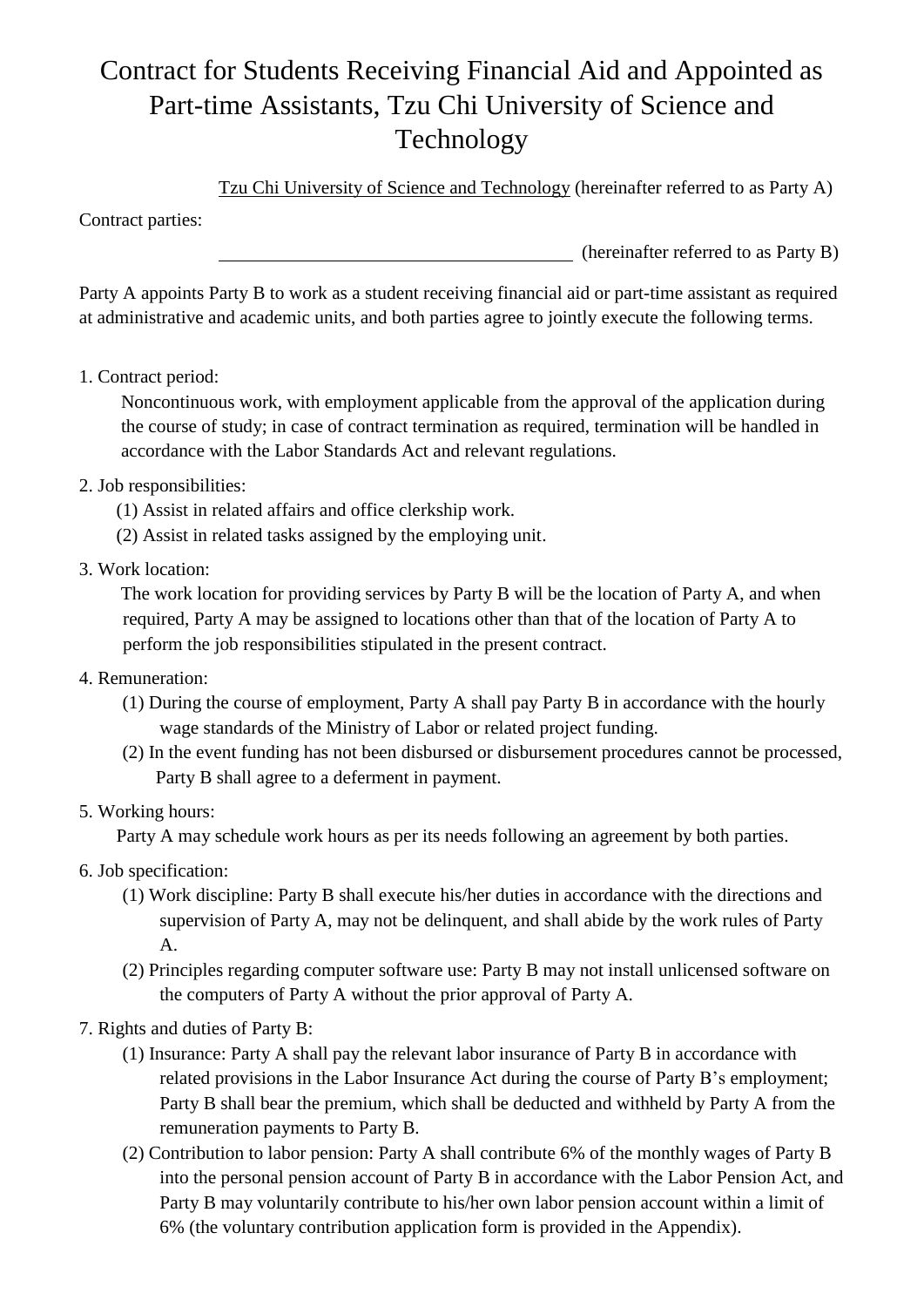# Contract for Students Receiving Financial Aid and Appointed as Part-time Assistants, Tzu Chi University of Science and Technology

Tzu Chi University of Science and Technology (hereinafter referred to as Party A)

Contract parties:

(hereinafter referred to as Party B)

Party A appoints Party B to work as a student receiving financial aid or part-time assistant as required at administrative and academic units, and both parties agree to jointly execute the following terms.

1. Contract period:

Noncontinuous work, with employment applicable from the approval of the application during the course of study; in case of contract termination as required, termination will be handled in accordance with the Labor Standards Act and relevant regulations.

## 2. Job responsibilities:

- (1) Assist in related affairs and office clerkship work.
- (2) Assist in related tasks assigned by the employing unit.
- 3. Work location:

The work location for providing services by Party B will be the location of Party A, and when required, Party A may be assigned to locations other than that of the location of Party A to perform the job responsibilities stipulated in the present contract.

- 4. Remuneration:
	- (1) During the course of employment, Party A shall pay Party B in accordance with the hourly wage standards of the Ministry of Labor or related project funding.
	- (2) In the event funding has not been disbursed or disbursement procedures cannot be processed, Party B shall agree to a deferment in payment.
- 5. Working hours:

Party A may schedule work hours as per its needs following an agreement by both parties.

- 6. Job specification:
	- (1) Work discipline: Party B shall execute his/her duties in accordance with the directions and supervision of Party A, may not be delinquent, and shall abide by the work rules of Party A.
	- (2) Principles regarding computer software use: Party B may not install unlicensed software on the computers of Party A without the prior approval of Party A.
- 7. Rights and duties of Party B:
	- (1) Insurance: Party A shall pay the relevant labor insurance of Party B in accordance with related provisions in the Labor Insurance Act during the course of Party B's employment; Party B shall bear the premium, which shall be deducted and withheld by Party A from the remuneration payments to Party B.
	- (2) Contribution to labor pension: Party A shall contribute 6% of the monthly wages of Party B into the personal pension account of Party B in accordance with the Labor Pension Act, and Party B may voluntarily contribute to his/her own labor pension account within a limit of 6% (the voluntary contribution application form is provided in the Appendix).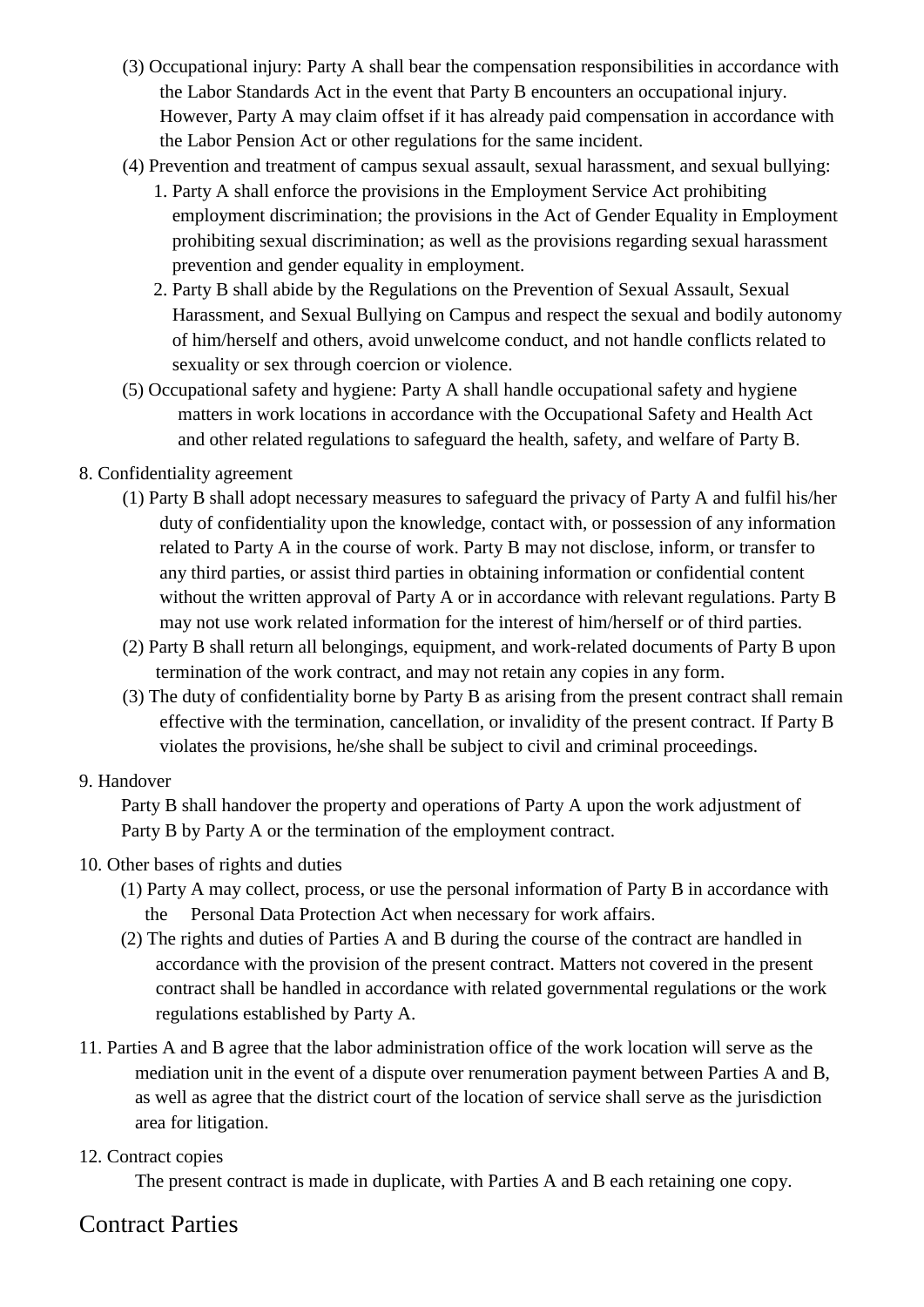- (3) Occupational injury: Party A shall bear the compensation responsibilities in accordance with the Labor Standards Act in the event that Party B encounters an occupational injury. However, Party A may claim offset if it has already paid compensation in accordance with the Labor Pension Act or other regulations for the same incident.
- (4) Prevention and treatment of campus sexual assault, sexual harassment, and sexual bullying:
	- 1. Party A shall enforce the provisions in the Employment Service Act prohibiting employment discrimination; the provisions in the Act of Gender Equality in Employment prohibiting sexual discrimination; as well as the provisions regarding sexual harassment prevention and gender equality in employment.
	- 2. Party B shall abide by the Regulations on the Prevention of Sexual Assault, Sexual Harassment, and Sexual Bullying on Campus and respect the sexual and bodily autonomy of him/herself and others, avoid unwelcome conduct, and not handle conflicts related to sexuality or sex through coercion or violence.
- (5) Occupational safety and hygiene: Party A shall handle occupational safety and hygiene matters in work locations in accordance with the Occupational Safety and Health Act and other related regulations to safeguard the health, safety, and welfare of Party B.

#### 8. Confidentiality agreement

- (1) Party B shall adopt necessary measures to safeguard the privacy of Party A and fulfil his/her duty of confidentiality upon the knowledge, contact with, or possession of any information related to Party A in the course of work. Party B may not disclose, inform, or transfer to any third parties, or assist third parties in obtaining information or confidential content without the written approval of Party A or in accordance with relevant regulations. Party B may not use work related information for the interest of him/herself or of third parties.
- (2) Party B shall return all belongings, equipment, and work-related documents of Party B upon termination of the work contract, and may not retain any copies in any form.
- (3) The duty of confidentiality borne by Party B as arising from the present contract shall remain effective with the termination, cancellation, or invalidity of the present contract. If Party B violates the provisions, he/she shall be subject to civil and criminal proceedings.

#### 9. Handover

Party B shall handover the property and operations of Party A upon the work adjustment of Party B by Party A or the termination of the employment contract.

#### 10. Other bases of rights and duties

- (1) Party A may collect, process, or use the personal information of Party B in accordance with the Personal Data Protection Act when necessary for work affairs.
- (2) The rights and duties of Parties A and B during the course of the contract are handled in accordance with the provision of the present contract. Matters not covered in the present contract shall be handled in accordance with related governmental regulations or the work regulations established by Party A.
- 11. Parties A and B agree that the labor administration office of the work location will serve as the mediation unit in the event of a dispute over renumeration payment between Parties A and B, as well as agree that the district court of the location of service shall serve as the jurisdiction area for litigation.

## 12. Contract copies

The present contract is made in duplicate, with Parties A and B each retaining one copy.

# Contract Parties